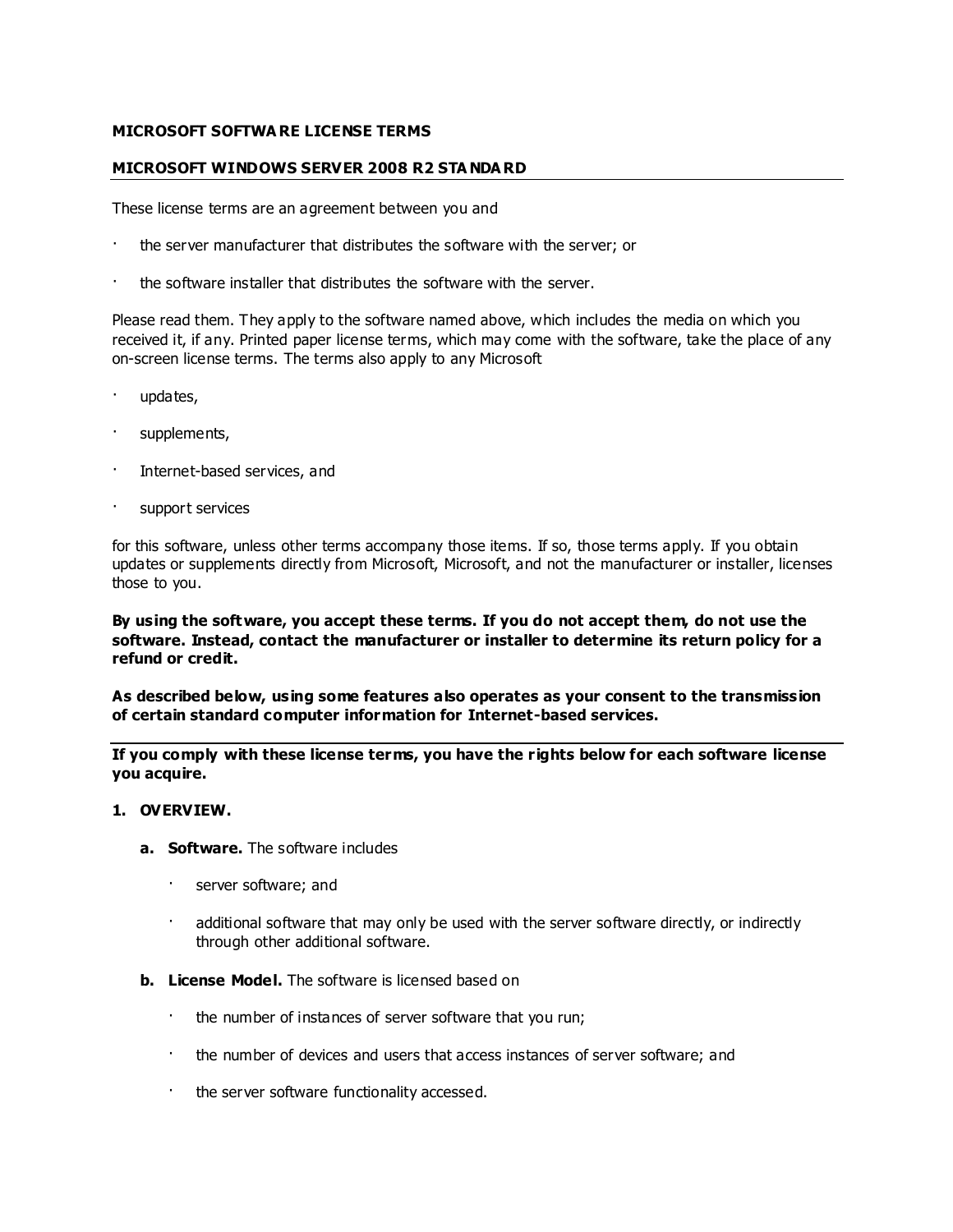### **MICROSOFT SOFTWA RE LICENSE TERMS**

### **MICROSOFT WINDOWS SERVER 2008 R2 STA NDA RD**

These license terms are an agreement between you and

- the server manufacturer that distributes the software with the server; or
- · the software installer that distributes the software with the server.

Please read them. They apply to the software named above, which includes the media on which you received it, if any. Printed paper license terms, which may come with the software, take the place of any on-screen license terms. The terms also apply to any Microsoft

- · updates,
- supplements,
- Internet-based services, and
- support services

for this software, unless other terms accompany those items. If so, those terms apply. If you obtain updates or supplements directly from Microsoft, Microsoft, and not the manufacturer or installer, licenses those to you.

### **By using the software, you accept these terms. If you do not accept them, do not use the software. Instead, contact the manufacturer or installer to determine its return policy for a refund or credit.**

**As described below, using some features also operates as your consent to the transmission of certain standard computer information for Internet-based services.**

**If you comply with these license terms, you have the rights below for each software license you acquire.**

#### **1. OVERVIEW.**

- **a. Software.** The software includes
	- server software; and
	- additional software that may only be used with the server software directly, or indirectly through other additional software.
- **b. License Model.** The software is licensed based on
	- the number of instances of server software that you run;
	- · the number of devices and users that access instances of server software; and
	- · the server software functionality accessed.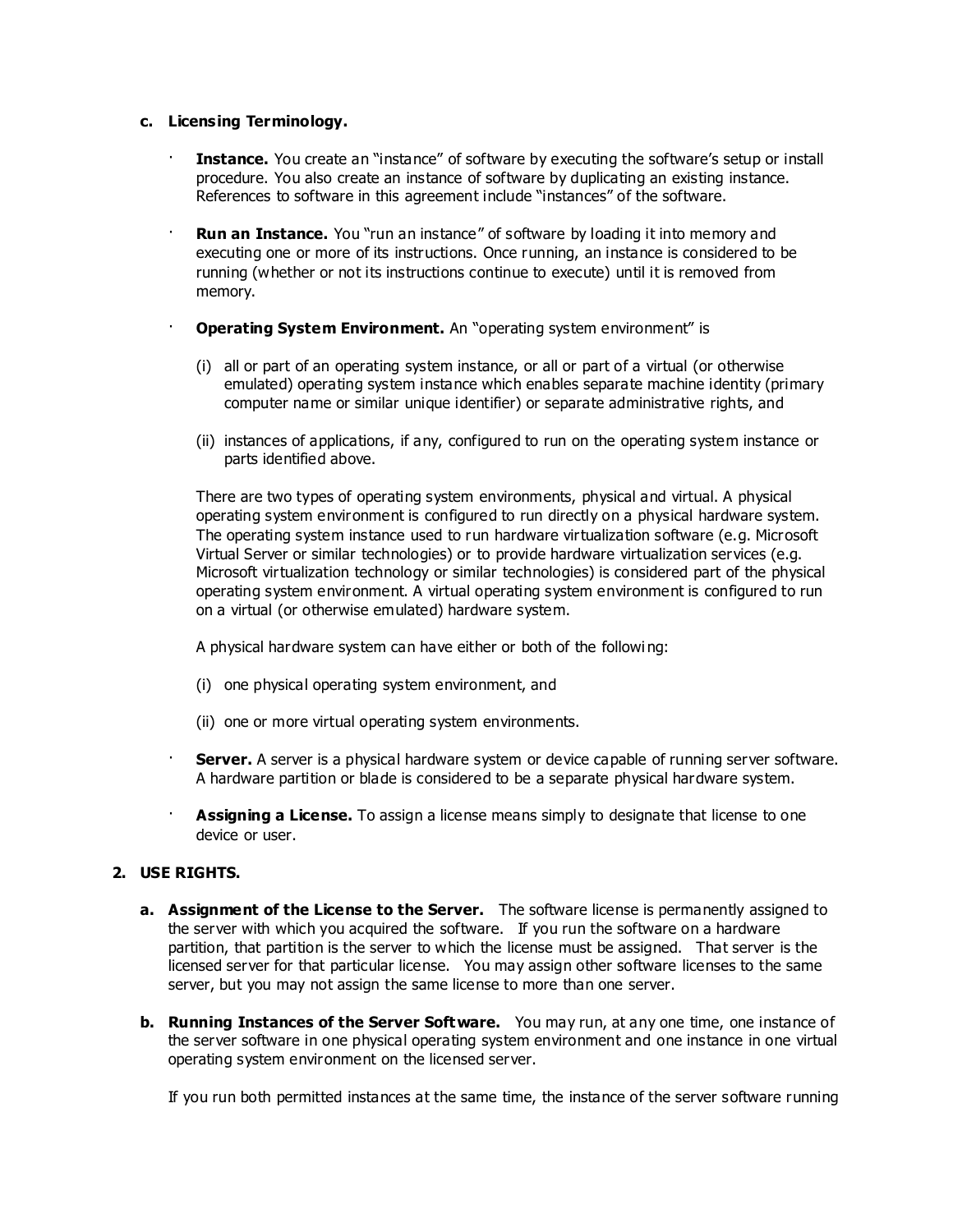#### **c. Licensing Terminology.**

- **Instance.** You create an "instance" of software by executing the software's setup or install procedure. You also create an instance of software by duplicating an existing instance. References to software in this agreement include "instances" of the software.
- **Run an Instance.** You "run an instance" of software by loading it into memory and executing one or more of its instructions. Once running, an instance is considered to be running (whether or not its instructions continue to execute) until it is removed from memory.
	- **Operating System Environment.** An "operating system environment" is
		- (i) all or part of an operating system instance, or all or part of a virtual (or otherwise emulated) operating system instance which enables separate machine identity (primary computer name or similar unique identifier) or separate administrative rights, and
		- (ii) instances of applications, if any, configured to run on the operating system instance or parts identified above.

There are two types of operating system environments, physical and virtual. A physical operating system environment is configured to run directly on a physical hardware system. The operating system instance used to run hardware virtualization software (e.g. Microsoft Virtual Server or similar technologies) or to provide hardware virtualization services (e.g. Microsoft virtualization technology or similar technologies) is considered part of the physical operating system environment. A virtual operating system environment is configured to run on a virtual (or otherwise emulated) hardware system.

A physical hardware system can have either or both of the followi ng:

- (i) one physical operating system environment, and
- (ii) one or more virtual operating system environments.
- · **Server.** A server is a physical hardware system or device capable of running server software. A hardware partition or blade is considered to be a separate physical hardware system.
- · **Assigning a License.** To assign a license means simply to designate that license to one device or user.

## **2. USE RIGHTS.**

- **a. Assignment of the License to the Server.** The software license is permanently assigned to the server with which you acquired the software. If you run the software on a hardware partition, that partition is the server to which the license must be assigned. That server is the licensed server for that particular license. You may assign other software licenses to the same server, but you may not assign the same license to more than one server.
- **b. Running Instances of the Server Software.** You may run, at any one time, one instance of the server software in one physical operating system environment and one instance in one virtual operating system environment on the licensed server.

If you run both permitted instances at the same time, the instance of the server software running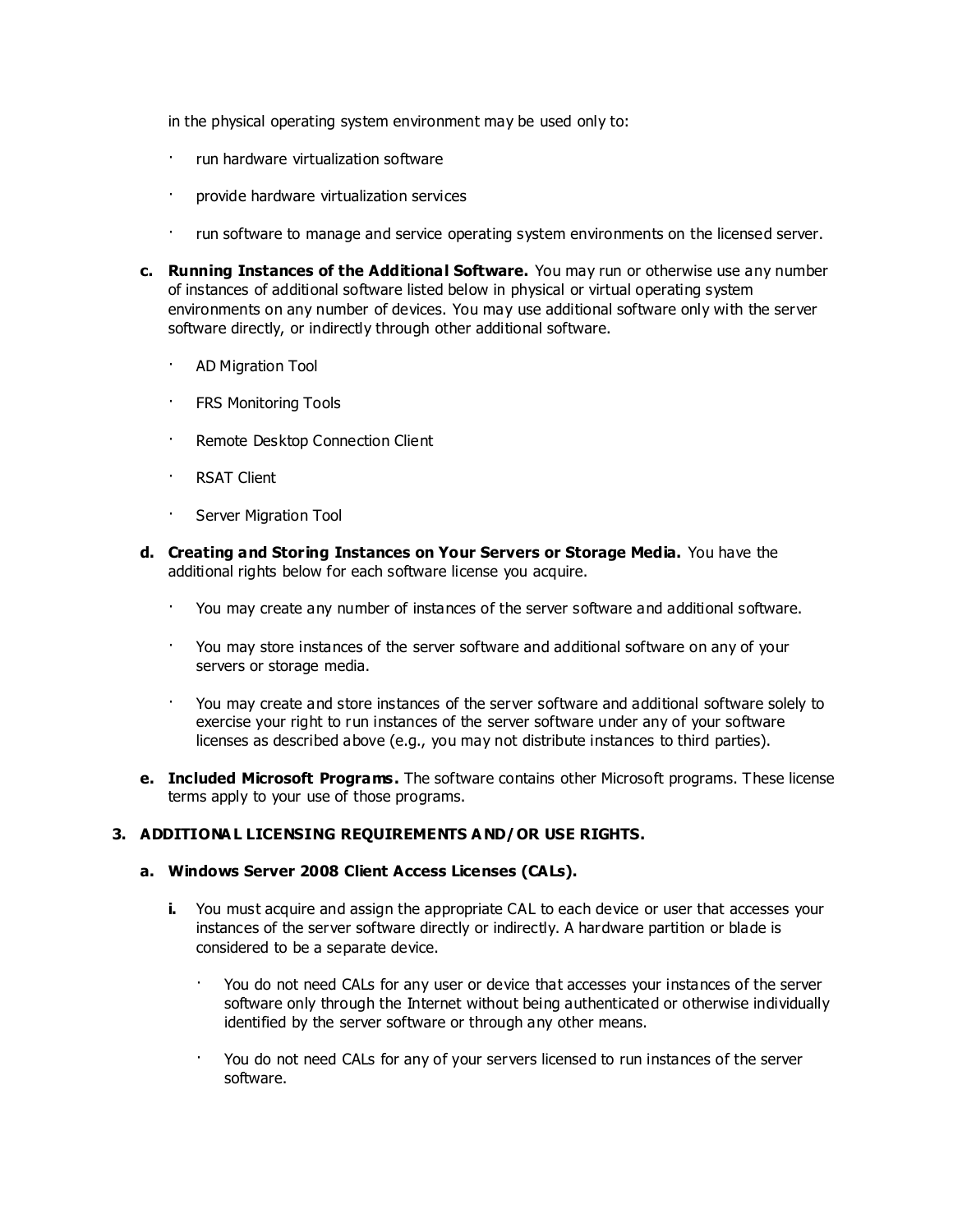in the physical operating system environment may be used only to:

- · run hardware virtualization software
- · provide hardware virtualization services
- · run software to manage and service operating system environments on the licensed server.
- **c. Running Instances of the Additional Software.** You may run or otherwise use any number of instances of additional software listed below in physical or virtual operating system environments on any number of devices. You may use additional software only with the server software directly, or indirectly through other additional software.
	- · AD Migration Tool
	- · FRS Monitoring Tools
	- · Remote Desktop Connection Client
	- **RSAT Client**
	- · Server Migration Tool
- **d. Creating and Storing Instances on Your Servers or Storage Media.** You have the additional rights below for each software license you acquire.
	- · You may create any number of instances of the server software and additional software.
	- · You may store instances of the server software and additional software on any of your servers or storage media.
	- · You may create and store instances of the server software and additional software solely to exercise your right to run instances of the server software under any of your software licenses as described above (e.g., you may not distribute instances to third parties).
- **e. Included Microsoft Programs.** The software contains other Microsoft programs. These license terms apply to your use of those programs.

## **3. ADDITIONA L LICENSING REQUIREMENTS A ND/OR USE RIGHTS.**

#### **a. Windows Server 2008 Client Access Licenses (CALs).**

- **i.** You must acquire and assign the appropriate CAL to each device or user that accesses your instances of the server software directly or indirectly. A hardware partition or blade is considered to be a separate device.
	- · You do not need CALs for any user or device that accesses your instances of the server software only through the Internet without being authenticated or otherwise individually identified by the server software or through any other means.
	- · You do not need CALs for any of your servers licensed to run instances of the server software.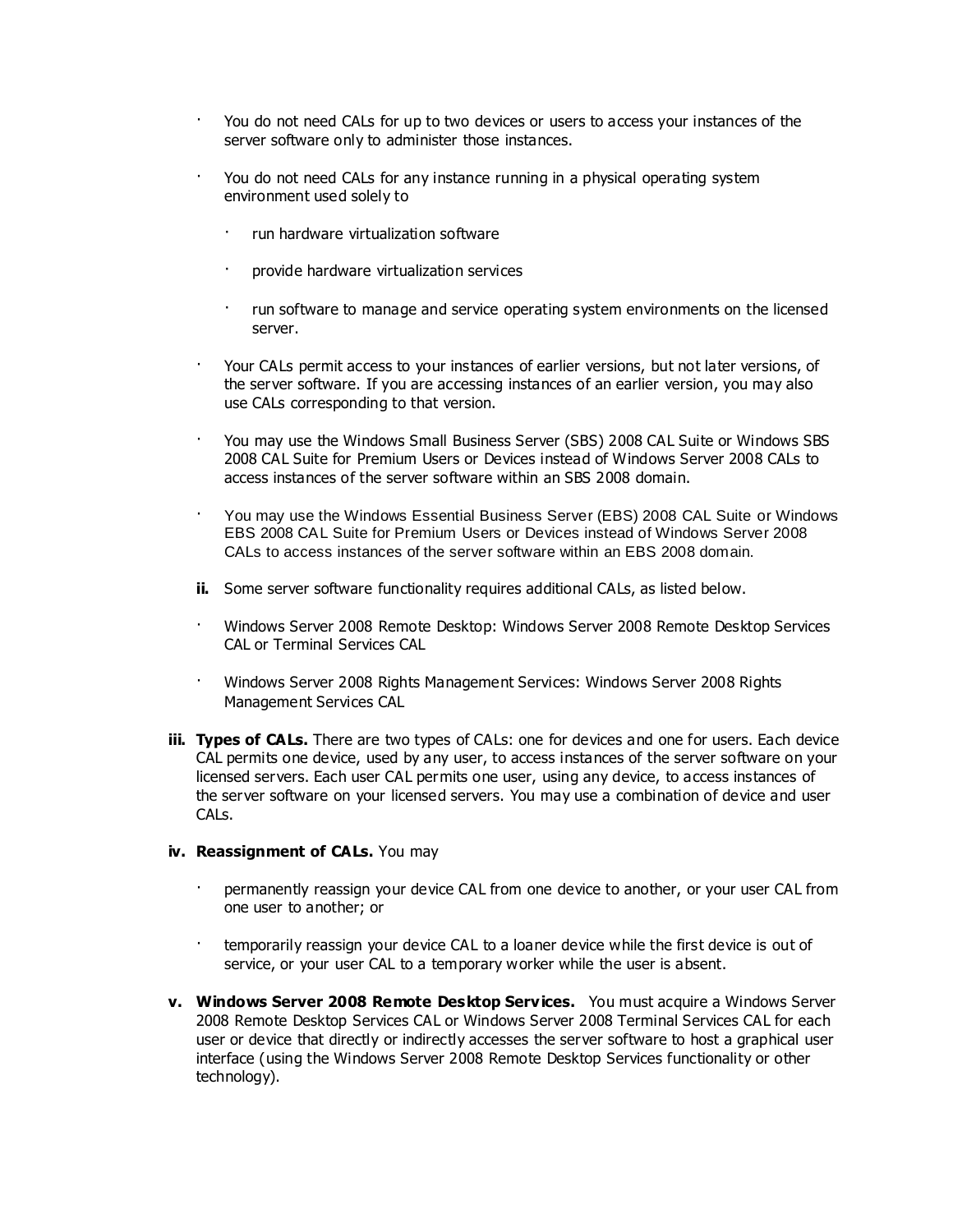- · You do not need CALs for up to two devices or users to access your instances of the server software only to administer those instances.
- · You do not need CALs for any instance running in a physical operating system environment used solely to
	- · run hardware virtualization software
	- provide hardware virtualization services
	- · run software to manage and service operating system environments on the licensed server.
- · Your CALs permit access to your instances of earlier versions, but not later versions, of the server software. If you are accessing instances of an earlier version, you may also use CALs corresponding to that version.
- · You may use the Windows Small Business Server (SBS) 2008 CAL Suite or Windows SBS 2008 CAL Suite for Premium Users or Devices instead of Windows Server 2008 CALs to access instances of the server software within an SBS 2008 domain.
- · You may use the Windows Essential Business Server (EBS) 2008 CAL Suite or Windows EBS 2008 CAL Suite for Premium Users or Devices instead of Windows Server 2008 CALs to access instances of the server software within an EBS 2008 domain.
- **ii.** Some server software functionality requires additional CALs, as listed below.
- · Windows Server 2008 Remote Desktop: Windows Server 2008 Remote Desktop Services CAL or Terminal Services CAL
- · Windows Server 2008 Rights Management Services: Windows Server 2008 Rights Management Services CAL
- **iii. Types of CALs.** There are two types of CALs: one for devices and one for users. Each device CAL permits one device, used by any user, to access instances of the server software on your licensed servers. Each user CAL permits one user, using any device, to access instances of the server software on your licensed servers. You may use a combination of device and user CALs.

## **iv. Reassignment of CALs.** You may

- permanently reassign your device CAL from one device to another, or your user CAL from one user to another; or
- · temporarily reassign your device CAL to a loaner device while the first device is out of service, or your user CAL to a temporary worker while the user is absent.
- **v. Windows Server 2008 Remote Desktop Services.** You must acquire a Windows Server 2008 Remote Desktop Services CAL or Windows Server 2008 Terminal Services CAL for each user or device that directly or indirectly accesses the server software to host a graphical user interface (using the Windows Server 2008 Remote Desktop Services functionality or other technology).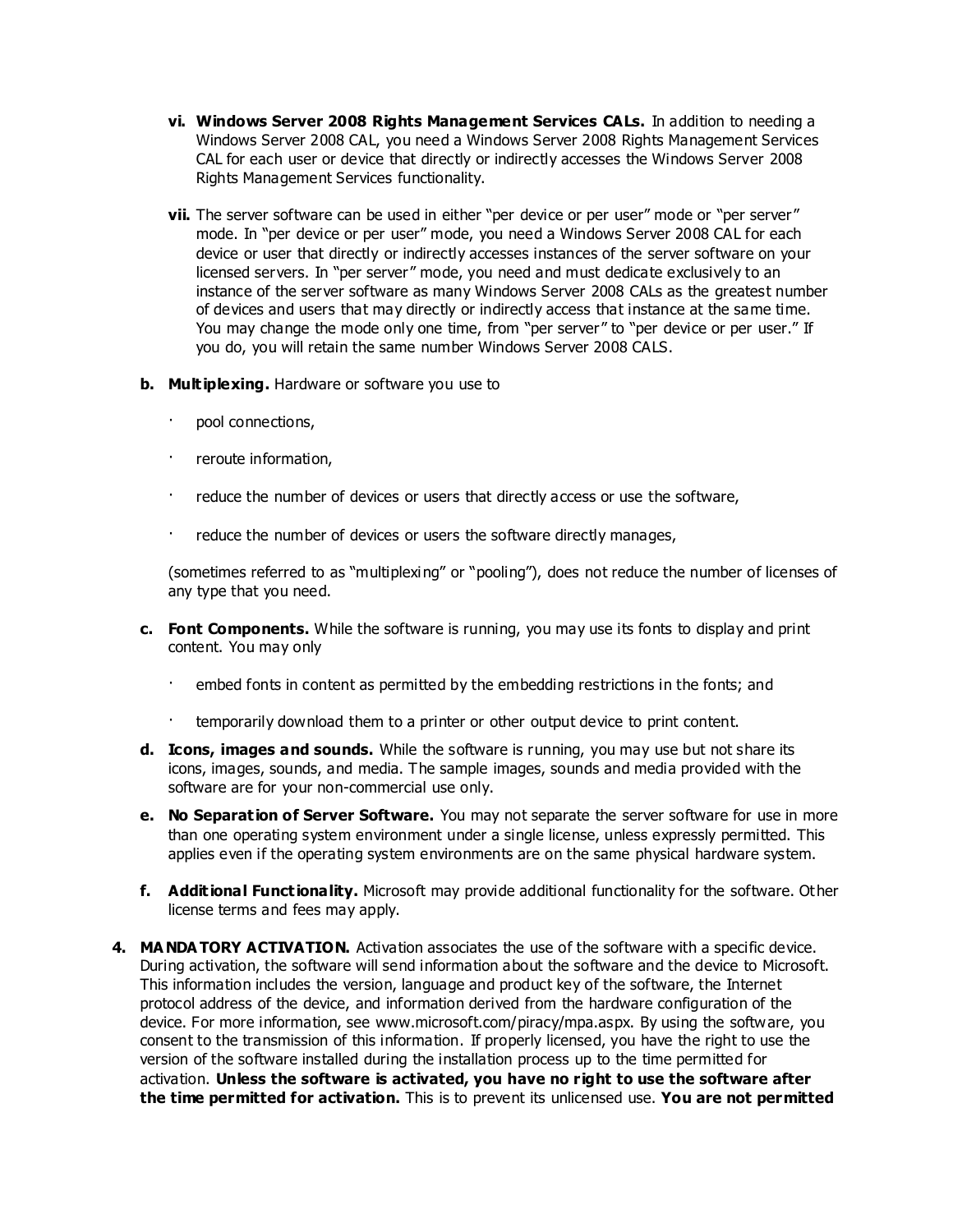- **vi. Windows Server 2008 Rights Management Services CALs.** In addition to needing a Windows Server 2008 CAL, you need a Windows Server 2008 Rights Management Services CAL for each user or device that directly or indirectly accesses the Windows Server 2008 Rights Management Services functionality.
- **vii.** The server software can be used in either "per device or per user" mode or "per server" mode. In "per device or per user" mode, you need a Windows Server 2008 CAL for each device or user that directly or indirectly accesses instances of the server software on your licensed servers. In "per server" mode, you need and must dedicate exclusively to an instance of the server software as many Windows Server 2008 CALs as the greatest number of devices and users that may directly or indirectly access that instance at the same time. You may change the mode only one time, from "per server" to "per device or per user." If you do, you will retain the same number Windows Server 2008 CALS.
- **b. Multiplexing.** Hardware or software you use to
	- pool connections,
	- · reroute information,
	- · reduce the number of devices or users that directly access or use the software,
	- · reduce the number of devices or users the software directly manages,

(sometimes referred to as "multiplexing" or "pooling"), does not reduce the number of licenses of any type that you need.

- **c. Font Components.** While the software is running, you may use its fonts to display and print content. You may only
	- · embed fonts in content as permitted by the embedding restrictions in the fonts; and
	- temporarily download them to a printer or other output device to print content.
- **d. Icons, images and sounds.** While the software is running, you may use but not share its icons, images, sounds, and media. The sample images, sounds and media provided with the software are for your non-commercial use only.
- **e. No Separation of Server Software.** You may not separate the server software for use in more than one operating system environment under a single license, unless expressly permitted. This applies even if the operating system environments are on the same physical hardware system.
- **f. Additional Functionality.** Microsoft may provide additional functionality for the software. Other license terms and fees may apply.
- **4. MA NDA TORY ACTIVATION.** Activation associates the use of the software with a specific device. During activation, the software will send information about the software and the device to Microsoft. This information includes the version, language and product key of the software, the Internet protocol address of the device, and information derived from the hardware configuration of the device. For more information, see www.microsoft.com/piracy/mpa.aspx. By using the software, you consent to the transmission of this information. If properly licensed, you have the right to use the version of the software installed during the installation process up to the time permitted for activation. **Unless the software is activated, you have no right to use the software after the time permitted for activation.** This is to prevent its unlicensed use. **You are not permitted**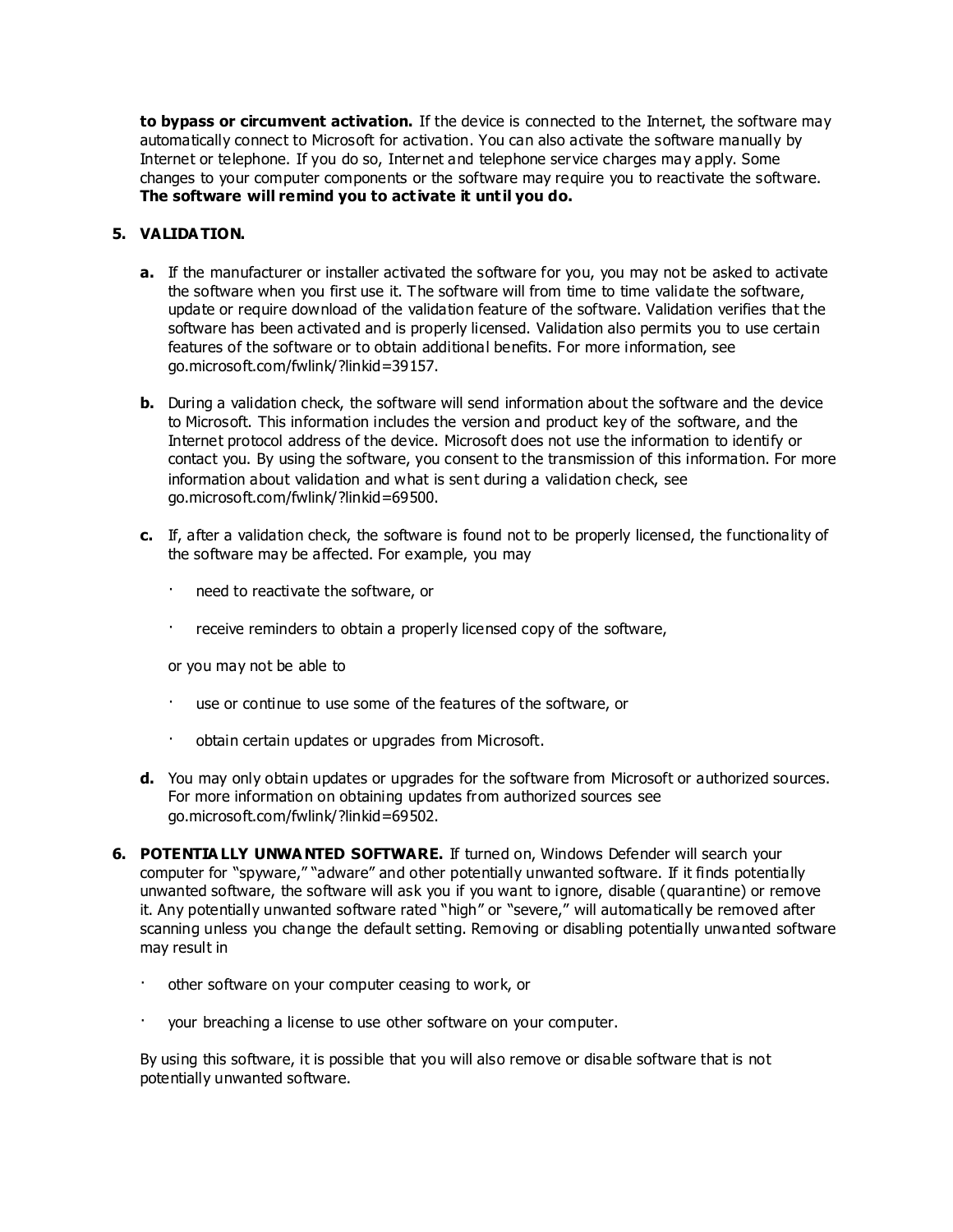**to bypass or circumvent activation.** If the device is connected to the Internet, the software may automatically connect to Microsoft for activation. You can also activate the software manually by Internet or telephone. If you do so, Internet and telephone service charges may apply. Some changes to your computer components or the software may require you to reactivate the software. **The software will remind you to activate it until you do.**

## **5. VALIDA TION.**

- **a.** If the manufacturer or installer activated the software for you, you may not be asked to activate the software when you first use it. The software will from time to time validate the software, update or require download of the validation feature of the software. Validation verifies that the software has been activated and is properly licensed. Validation also permits you to use certain features of the software or to obtain additional benefits. For more information, see go.microsoft.com/fwlink/?linkid=39157.
- **b.** During a validation check, the software will send information about the software and the device to Microsoft. This information includes the version and product key of the software, and the Internet protocol address of the device. Microsoft does not use the information to identify or contact you. By using the software, you consent to the transmission of this information. For more information about validation and what is sent during a validation check, see go.microsoft.com/fwlink/?linkid=69500.
- **c.** If, after a validation check, the software is found not to be properly licensed, the functionality of the software may be affected. For example, you may
	- · need to reactivate the software, or
	- · receive reminders to obtain a properly licensed copy of the software,

or you may not be able to

- · use or continue to use some of the features of the software, or
- obtain certain updates or upgrades from Microsoft.
- **d.** You may only obtain updates or upgrades for the software from Microsoft or authorized sources. For more information on obtaining updates from authorized sources see go.microsoft.com/fwlink/?linkid=69502.
- **6. POTENTIA LLY UNWA NTED SOFTWARE.** If turned on, Windows Defender will search your computer for "spyware," "adware" and other potentially unwanted software. If it finds potentially unwanted software, the software will ask you if you want to ignore, disable (quarantine) or remove it. Any potentially unwanted software rated "high" or "severe," will automatically be removed after scanning unless you change the default setting. Removing or disabling potentially unwanted software may result in
	- other software on your computer ceasing to work, or
	- your breaching a license to use other software on your computer.

By using this software, it is possible that you will also remove or disable software that is not potentially unwanted software.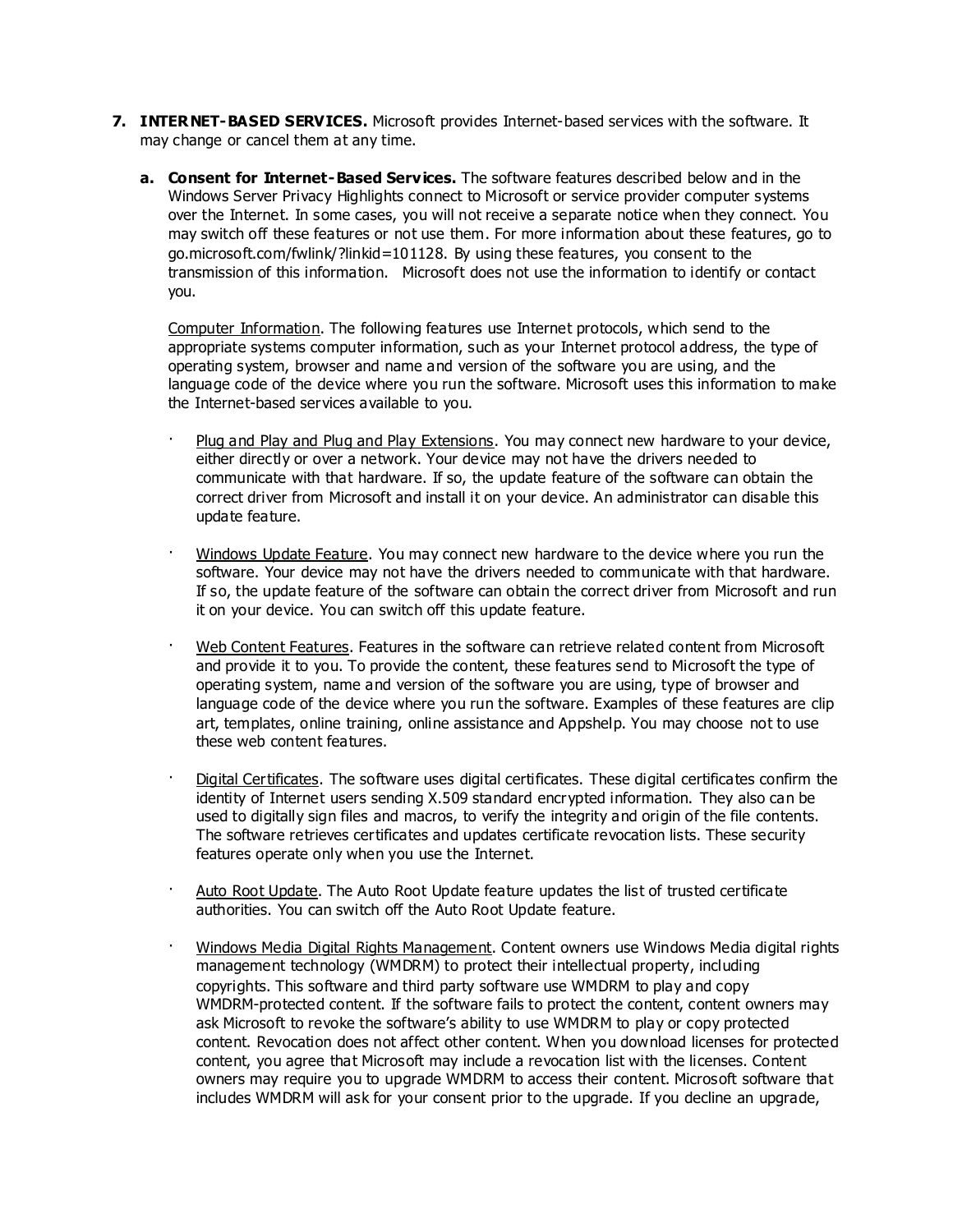- **7. INTERNET-BASED SERVICES.** Microsoft provides Internet-based services with the software. It may change or cancel them at any time.
	- **a. Consent for Internet-Based Services.** The software features described below and in the Windows Server Privacy Highlights connect to Microsoft or service provider computer systems over the Internet. In some cases, you will not receive a separate notice when they connect. You may switch off these features or not use them. For more information about these features, go to go.microsoft.com/fwlink/?linkid=101128. By using these features, you consent to the transmission of this information. Microsoft does not use the information to identify or contact you.

Computer Information. The following features use Internet protocols, which send to the appropriate systems computer information, such as your Internet protocol address, the type of operating system, browser and name and version of the software you are using, and the language code of the device where you run the software. Microsoft uses this information to make the Internet-based services available to you.

- · Plug and Play and Plug and Play Extensions. You may connect new hardware to your device, either directly or over a network. Your device may not have the drivers needed to communicate with that hardware. If so, the update feature of the software can obtain the correct driver from Microsoft and install it on your device. An administrator can disable this update feature.
- · Windows Update Feature. You may connect new hardware to the device where you run the software. Your device may not have the drivers needed to communicate with that hardware. If so, the update feature of the software can obtain the correct driver from Microsoft and run it on your device. You can switch off this update feature.
- · Web Content Features. Features in the software can retrieve related content from Microsoft and provide it to you. To provide the content, these features send to Microsoft the type of operating system, name and version of the software you are using, type of browser and language code of the device where you run the software. Examples of these features are clip art, templates, online training, online assistance and Appshelp. You may choose not to use these web content features.
- Digital Certificates. The software uses digital certificates. These digital certificates confirm the identity of Internet users sending X.509 standard encrypted information. They also can be used to digitally sign files and macros, to verify the integrity and origin of the file contents. The software retrieves certificates and updates certificate revocation lists. These security features operate only when you use the Internet.
- Auto Root Update. The Auto Root Update feature updates the list of trusted certificate authorities. You can switch off the Auto Root Update feature.
- · Windows Media Digital Rights Management. Content owners use Windows Media digital rights management technology (WMDRM) to protect their intellectual property, including copyrights. This software and third party software use WMDRM to play and copy WMDRM-protected content. If the software fails to protect the content, content owners may ask Microsoft to revoke the software's ability to use WMDRM to play or copy protected content. Revocation does not affect other content. When you download licenses for protected content, you agree that Microsoft may include a revocation list with the licenses. Content owners may require you to upgrade WMDRM to access their content. Microsoft software that includes WMDRM will ask for your consent prior to the upgrade. If you decline an upgrade,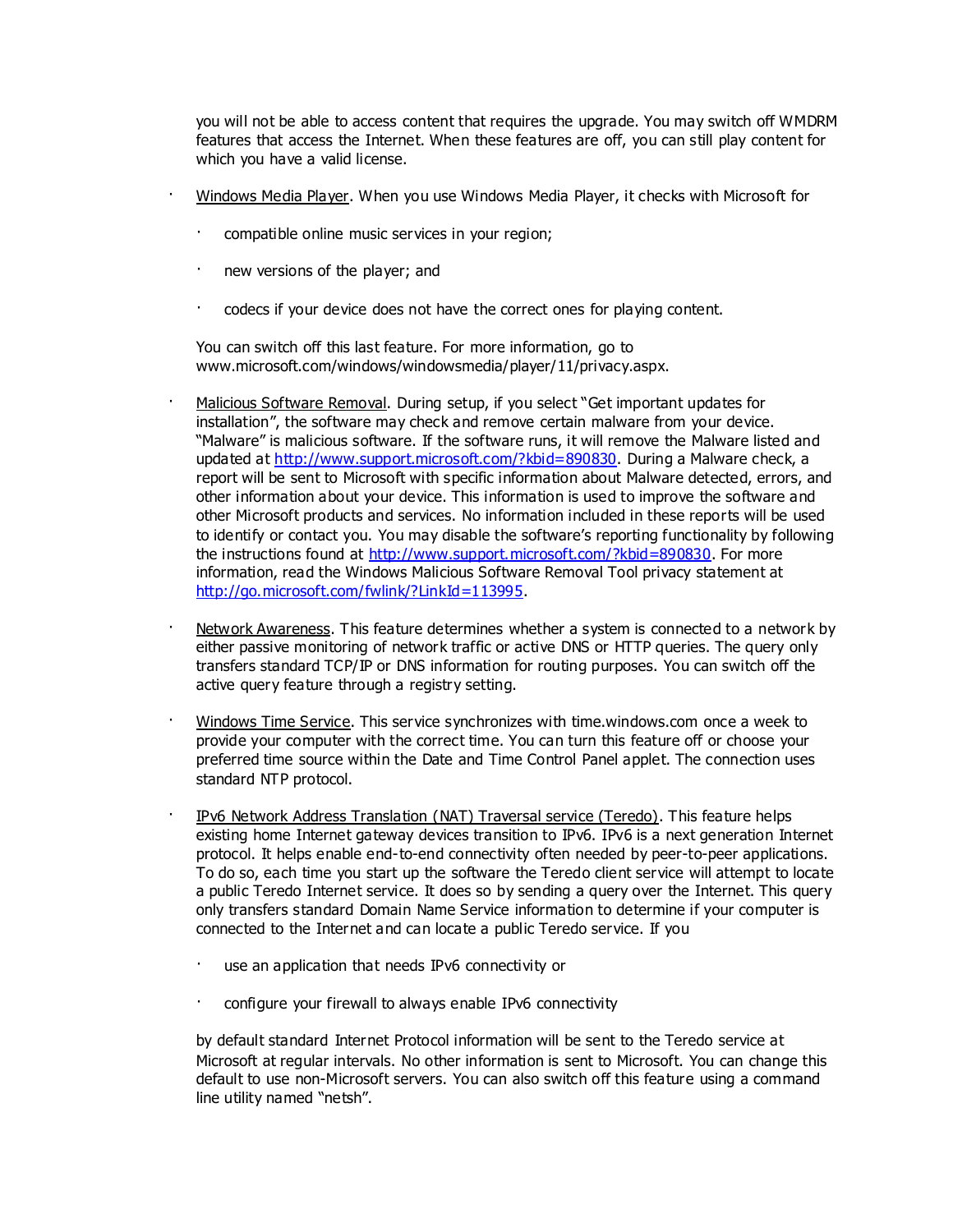you will not be able to access content that requires the upgrade. You may switch off WMDRM features that access the Internet. When these features are off, you can still play content for which you have a valid license.

- · Windows Media Player. When you use Windows Media Player, it checks with Microsoft for
- compatible online music services in your region;
- new versions of the player; and
- codecs if your device does not have the correct ones for playing content.

You can switch off this last feature. For more information, go to www.microsoft.com/windows/windowsmedia/player/11/privacy.aspx.

- Malicious Software Removal. During setup, if you select "Get important updates for installation", the software may check and remove certain malware from your device. "Malware" is malicious software. If the software runs, it will remove the Malware listed and updated at [http://www.support.microsoft.com/?kbid=890830.](http://www.support.microsoft.com/?kbid=890830) During a Malware check, a report will be sent to Microsoft with specific information about Malware detected, errors, and other information about your device. This information is used to improve the software and other Microsoft products and services. No information included in these reports will be used to identify or contact you. You may disable the software's reporting functionality by following the instructions found at [http://www.support.microsoft.com/?kbid=890830.](http://www.support.microsoft.com/?kbid=890830) For more information, read the Windows Malicious Software Removal Tool privacy statement at [http://go.microsoft.com/fwlink/?LinkId=113995.](http://go.microsoft.com/fwlink/?LinkId=113995)
- · Network Awareness. This feature determines whether a system is connected to a network by either passive monitoring of network traffic or active DNS or HTTP queries. The query only transfers standard TCP/IP or DNS information for routing purposes. You can switch off the active query feature through a registry setting.
- · Windows Time Service. This service synchronizes with time.windows.com once a week to provide your computer with the correct time. You can turn this feature off or choose your preferred time source within the Date and Time Control Panel applet. The connection uses standard NTP protocol.
- IPv6 Network Address Translation (NAT) Traversal service (Teredo). This feature helps existing home Internet gateway devices transition to IPv6. IPv6 is a next generation Internet protocol. It helps enable end-to-end connectivity often needed by peer-to-peer applications. To do so, each time you start up the software the Teredo client service will attempt to locate a public Teredo Internet service. It does so by sending a query over the Internet. This query only transfers standard Domain Name Service information to determine if your computer is connected to the Internet and can locate a public Teredo service. If you
	- use an application that needs IPv6 connectivity or
	- · configure your firewall to always enable IPv6 connectivity

by default standard Internet Protocol information will be sent to the Teredo service at Microsoft at regular intervals. No other information is sent to Microsoft. You can change this default to use non-Microsoft servers. You can also switch off this feature using a command line utility named "netsh".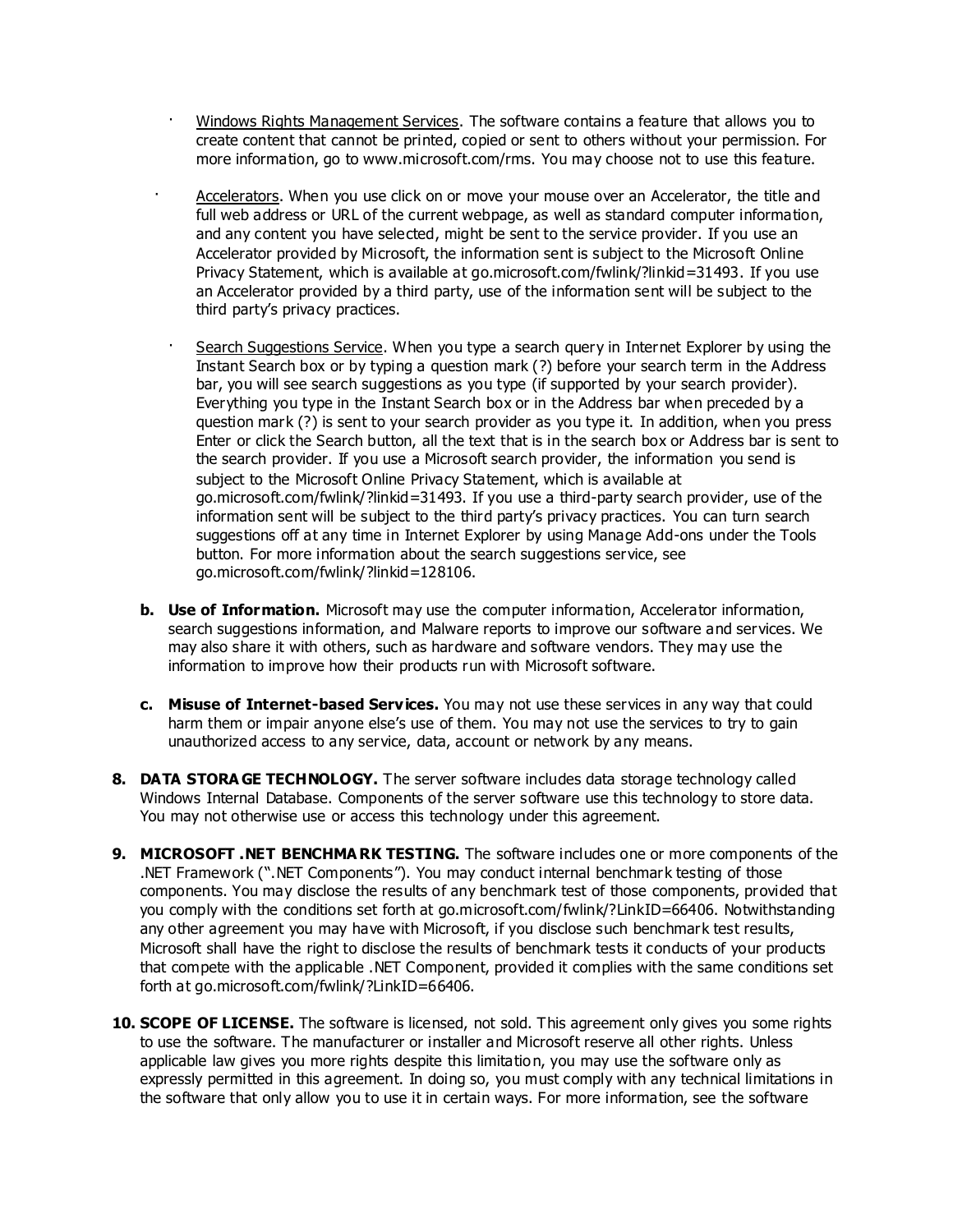- · Windows Rights Management Services. The software contains a feature that allows you to create content that cannot be printed, copied or sent to others without your permission. For more information, go to www.microsoft.com/rms. You may choose not to use this feature.
- Accelerators. When you use click on or move your mouse over an Accelerator, the title and full web address or URL of the current webpage, as well as standard computer information, and any content you have selected, might be sent to the service provider. If you use an Accelerator provided by Microsoft, the information sent is subject to the Microsoft Online Privacy Statement, which is available at go.microsoft.com/fwlink/?linkid=31493. If you use an Accelerator provided by a third party, use of the information sent will be subject to the third party's privacy practices.
- Search Suggestions Service. When you type a search query in Internet Explorer by using the Instant Search box or by typing a question mark (?) before your search term in the Address bar, you will see search suggestions as you type (if supported by your search provider). Everything you type in the Instant Search box or in the Address bar when preceded by a question mark (?) is sent to your search provider as you type it. In addition, when you press Enter or click the Search button, all the text that is in the search box or Address bar is sent to the search provider. If you use a Microsoft search provider, the information you send is subject to the Microsoft Online Privacy Statement, which is available at go.microsoft.com/fwlink/?linkid=31493. If you use a third-party search provider, use of the information sent will be subject to the third party's privacy practices. You can turn search suggestions off at any time in Internet Explorer by using Manage Add-ons under the Tools button. For more information about the search suggestions service, see go.microsoft.com/fwlink/?linkid=128106.
- **b. Use of Information.** Microsoft may use the computer information, Accelerator information, search suggestions information, and Malware reports to improve our software and services. We may also share it with others, such as hardware and software vendors. They may use the information to improve how their products run with Microsoft software.
- **c. Misuse of Internet-based Services.** You may not use these services in any way that could harm them or impair anyone else's use of them. You may not use the services to try to gain unauthorized access to any service, data, account or network by any means.
- **8. DATA STORA GE TECHNOLOGY.** The server software includes data storage technology called Windows Internal Database. Components of the server software use this technology to store data. You may not otherwise use or access this technology under this agreement.
- **9. MICROSOFT .NET BENCHMA RK TESTING.** The software includes one or more components of the .NET Framework (".NET Components"). You may conduct internal benchmark testing of those components. You may disclose the results of any benchmark test of those components, provided that you comply with the conditions set forth at go.microsoft.com/fwlink/?LinkID=66406. Notwithstanding any other agreement you may have with Microsoft, if you disclose such benchmark test results, Microsoft shall have the right to disclose the results of benchmark tests it conducts of your products that compete with the applicable .NET Component, provided it complies with the same conditions set forth at go.microsoft.com/fwlink/?LinkID=66406.
- **10. SCOPE OF LICENSE.** The software is licensed, not sold. This agreement only gives you some rights to use the software. The manufacturer or installer and Microsoft reserve all other rights. Unless applicable law gives you more rights despite this limitation, you may use the software only as expressly permitted in this agreement. In doing so, you must comply with any technical limitations in the software that only allow you to use it in certain ways. For more information, see the software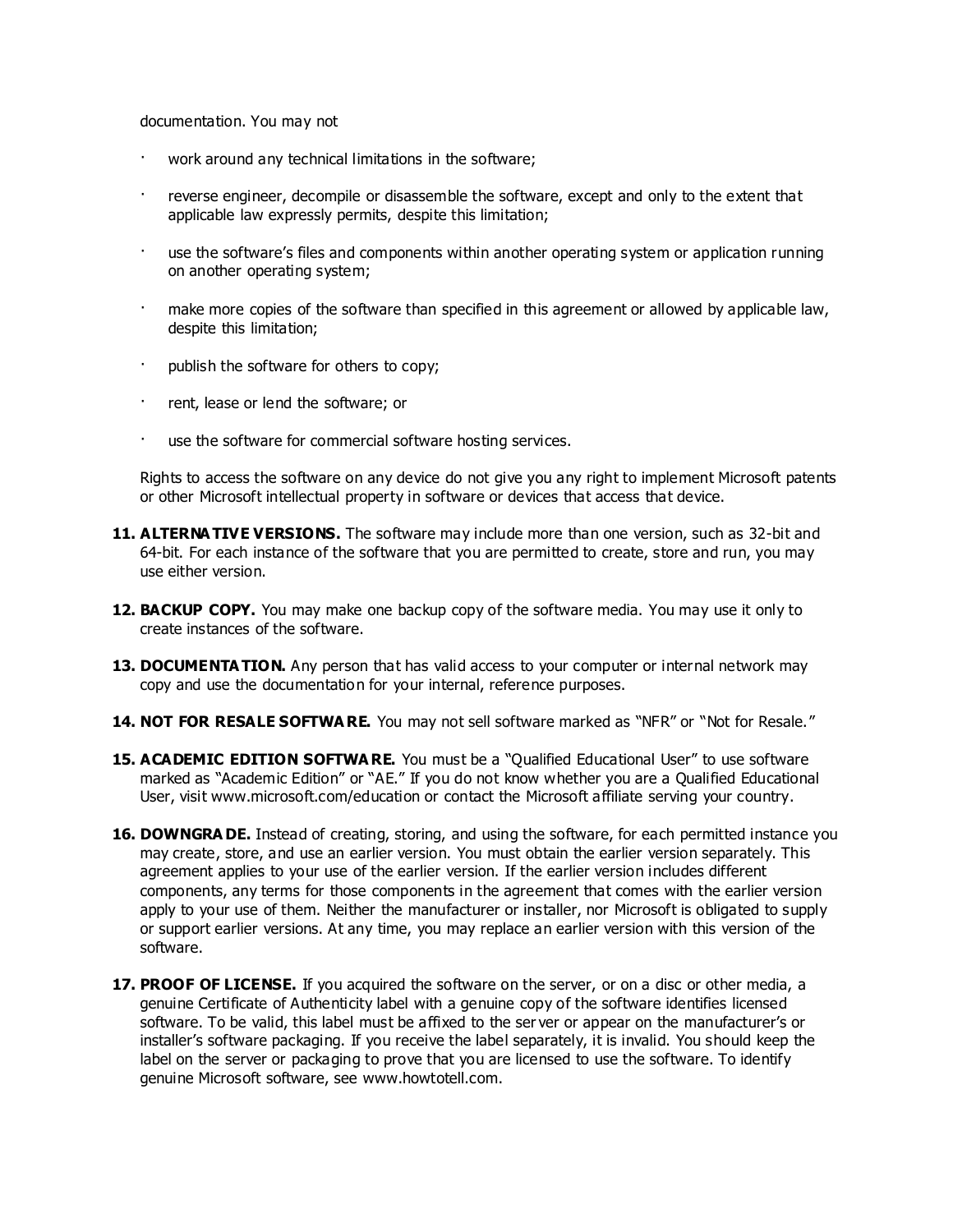documentation. You may not

- work around any technical limitations in the software;
- reverse engineer, decompile or disassemble the software, except and only to the extent that applicable law expressly permits, despite this limitation;
- use the software's files and components within another operating system or application running on another operating system;
- · make more copies of the software than specified in this agreement or allowed by applicable law, despite this limitation;
- publish the software for others to copy;
- rent, lease or lend the software; or
- use the software for commercial software hosting services.

Rights to access the software on any device do not give you any right to implement Microsoft patents or other Microsoft intellectual property in software or devices that access that device.

- **11. ALTERNA TIVE VERSIONS.** The software may include more than one version, such as 32-bit and 64-bit. For each instance of the software that you are permitted to create, store and run, you may use either version.
- **12. BACKUP COPY.** You may make one backup copy of the software media. You may use it only to create instances of the software.
- 13. DOCUMENTA TION. Any person that has valid access to your computer or internal network may copy and use the documentation for your internal, reference purposes.
- **14. NOT FOR RESALE SOFTWA RE.** You may not sell software marked as "NFR" or "Not for Resale."
- **15. ACADEMIC EDITION SOFTWA RE.** You must be a "Qualified Educational User" to use software marked as "Academic Edition" or "AE." If you do not know whether you are a Qualified Educational User, visit www.microsoft.com/education or contact the Microsoft affiliate serving your country.
- **16. DOWNGRA DE.** Instead of creating, storing, and using the software, for each permitted instance you may create, store, and use an earlier version. You must obtain the earlier version separately. This agreement applies to your use of the earlier version. If the earlier version includes different components, any terms for those components in the agreement that comes with the earlier version apply to your use of them. Neither the manufacturer or installer, nor Microsoft is obligated to supply or support earlier versions. At any time, you may replace an earlier version with this version of the software.
- **17. PROOF OF LICENSE.** If you acquired the software on the server, or on a disc or other media, a genuine Certificate of Authenticity label with a genuine copy of the software identifies licensed software. To be valid, this label must be affixed to the ser ver or appear on the manufacturer's or installer's software packaging. If you receive the label separately, it is invalid. You should keep the label on the server or packaging to prove that you are licensed to use the software. To identify genuine Microsoft software, see www.howtotell.com.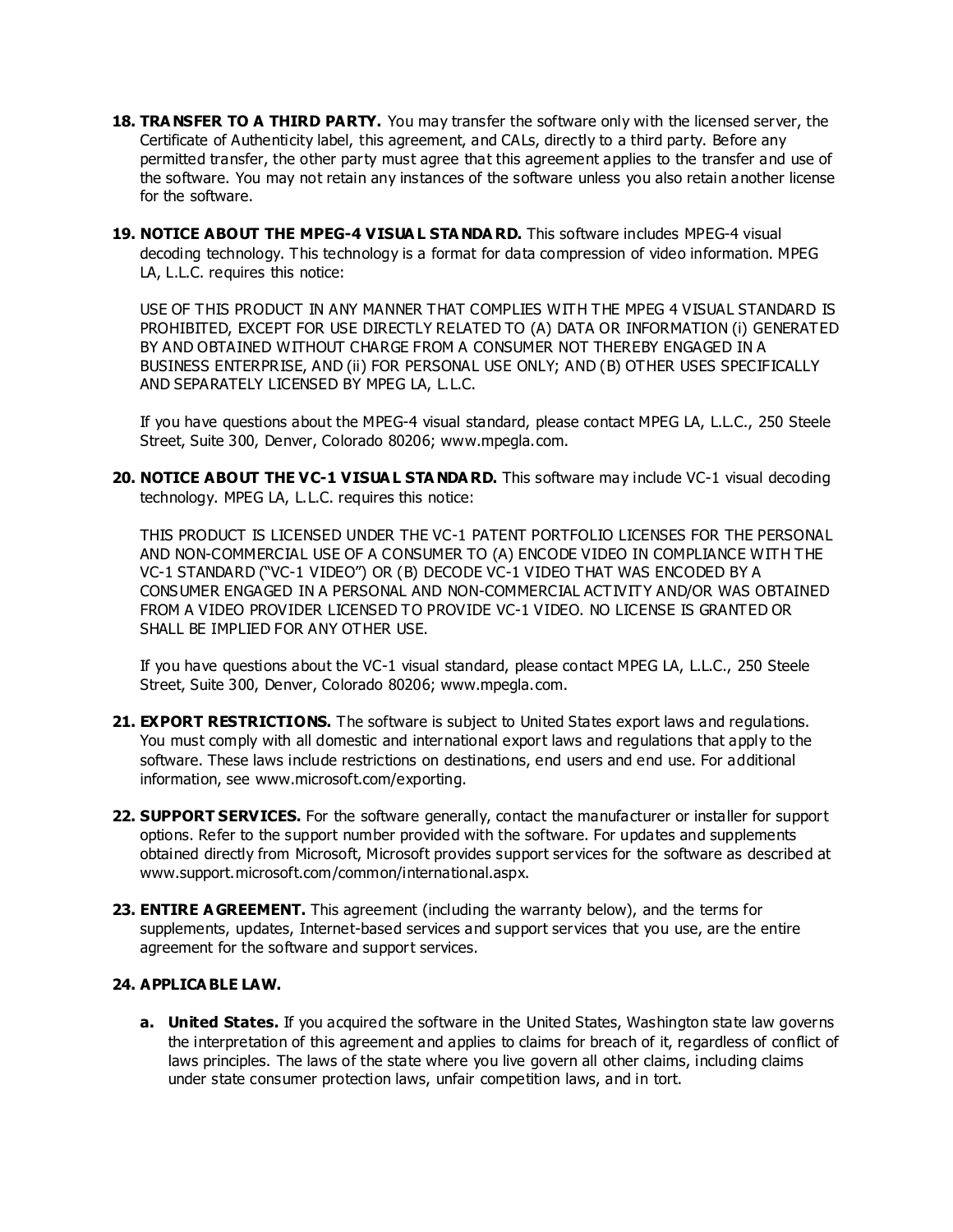- **18. TRA NSFER TO A THIRD PARTY.** You may transfer the software only with the licensed server, the Certificate of Authenticity label, this agreement, and CALs, directly to a third party. Before any permitted transfer, the other party must agree that this agreement applies to the transfer and use of the software. You may not retain any instances of the software unless you also retain another license for the software.
- **19. NOTICE ABOUT THE MPEG-4 VISUA L STA NDA RD.** This software includes MPEG-4 visual decoding technology. This technology is a format for data compression of video information. MPEG LA, L.L.C. requires this notice:

USE OF THIS PRODUCT IN ANY MANNER THAT COMPLIES WITH THE MPEG 4 VISUAL STANDARD IS PROHIBITED, EXCEPT FOR USE DIRECTLY RELATED TO (A) DATA OR INFORMATION (i) GENERATED BY AND OBTAINED WITHOUT CHARGE FROM A CONSUMER NOT THEREBY ENGAGED IN A BUSINESS ENTERPRISE, AND (ii) FOR PERSONAL USE ONLY; AND (B) OTHER USES SPECIFICALLY AND SEPARATELY LICENSED BY MPEG LA, L.L.C.

If you have questions about the MPEG-4 visual standard, please contact MPEG LA, L.L.C., 250 Steele Street, Suite 300, Denver, Colorado 80206; www.mpegla.com.

**20. NOTICE ABOUT THE VC-1 VISUA L STA NDA RD.** This software may include VC-1 visual decoding technology. MPEG LA, L.L.C. requires this notice:

THIS PRODUCT IS LICENSED UNDER THE VC-1 PATENT PORTFOLIO LICENSES FOR THE PERSONAL AND NON-COMMERCIAL USE OF A CONSUMER TO (A) ENCODE VIDEO IN COMPLIANCE WITH THE VC-1 STANDARD ("VC-1 VIDEO") OR (B) DECODE VC-1 VIDEO THAT WAS ENCODED BY A CONSUMER ENGAGED IN A PERSONAL AND NON-COMMERCIAL ACTIVITY AND/OR WAS OBTAINED FROM A VIDEO PROVIDER LICENSED TO PROVIDE VC-1 VIDEO. NO LICENSE IS GRANTED OR SHALL BE IMPLIED FOR ANY OTHER USE.

If you have questions about the VC-1 visual standard, please contact MPEG LA, L.L.C., 250 Steele Street, Suite 300, Denver, Colorado 80206; www.mpegla.com.

- **21. EXPORT RESTRICTIONS.** The software is subject to United States export laws and regulations. You must comply with all domestic and international export laws and regulations that apply to the software. These laws include restrictions on destinations, end users and end use. For additional information, see www.microsoft.com/exporting.
- **22. SUPPORT SERVICES.** For the software generally, contact the manufacturer or installer for support options. Refer to the support number provided with the software. For updates and supplements obtained directly from Microsoft, Microsoft provides support services for the software as described at www.support.microsoft.com/common/international.aspx.
- **23. ENTIRE A GREEMENT.** This agreement (including the warranty below), and the terms for supplements, updates, Internet-based services and support services that you use, are the entire agreement for the software and support services.

#### **24. APPLICA BLE LAW.**

**a. United States.** If you acquired the software in the United States, Washington state law governs the interpretation of this agreement and applies to claims for breach of it, regardless of conflict of laws principles. The laws of the state where you live govern all other claims, including claims under state consumer protection laws, unfair competition laws, and in tort.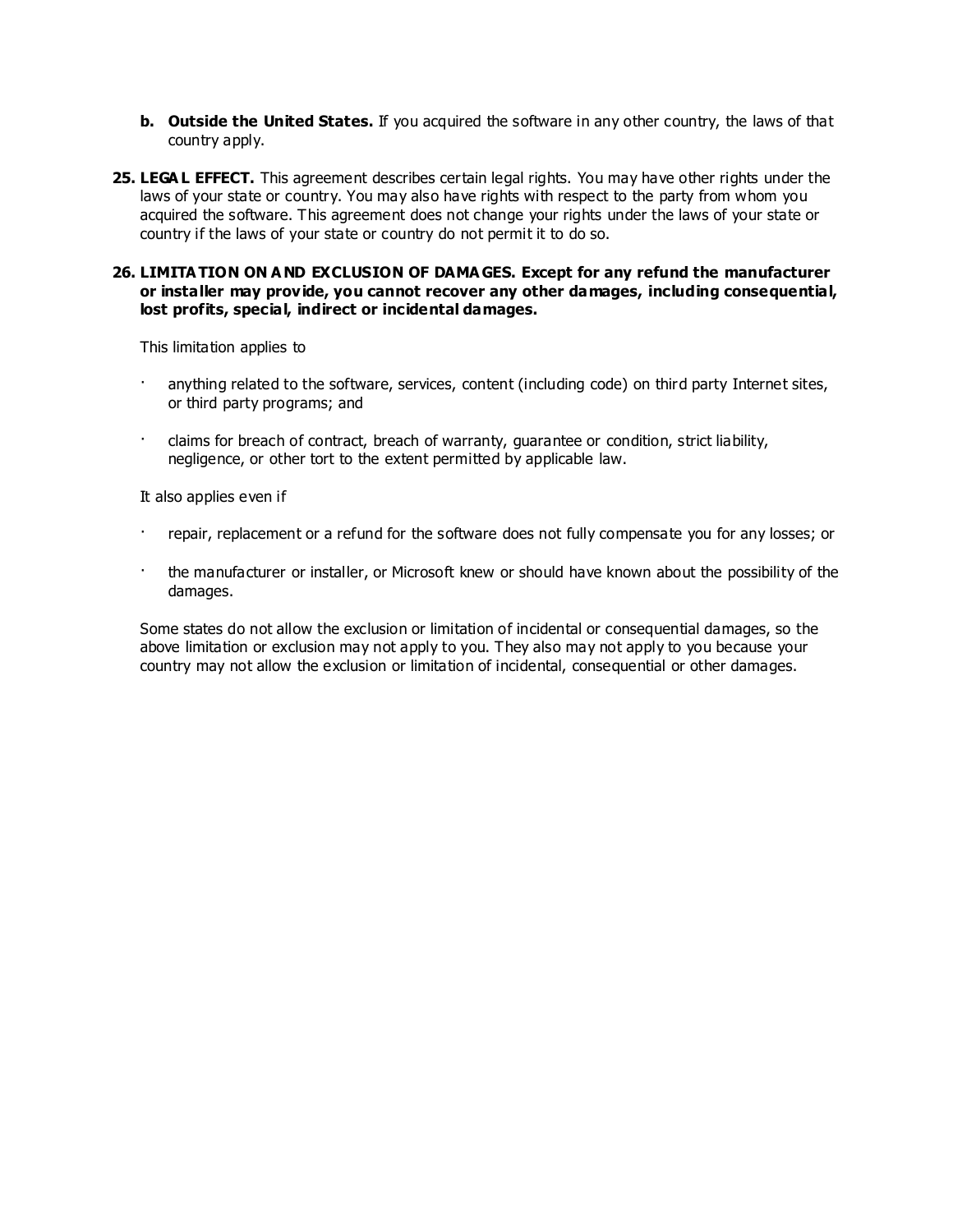- **b. Outside the United States.** If you acquired the software in any other country, the laws of that country apply.
- **25. LEGA L EFFECT.** This agreement describes certain legal rights. You may have other rights under the laws of your state or country. You may also have rights with respect to the party from whom you acquired the software. This agreement does not change your rights under the laws of your state or country if the laws of your state or country do not permit it to do so.

#### **26. LIMITA TION ON A ND EXCLUSION OF DAMA GES. Except for any refund the manufacturer or installer may provide, you cannot recover any other damages, including consequential, lost profits, special, indirect or incidental damages.**

This limitation applies to

- anything related to the software, services, content (including code) on third party Internet sites, or third party programs; and
- · claims for breach of contract, breach of warranty, guarantee or condition, strict liability, negligence, or other tort to the extent permitted by applicable law.

It also applies even if

- · repair, replacement or a refund for the software does not fully compensate you for any losses; or
- the manufacturer or installer, or Microsoft knew or should have known about the possibility of the damages.

Some states do not allow the exclusion or limitation of incidental or consequential damages, so the above limitation or exclusion may not apply to you. They also may not apply to you because your country may not allow the exclusion or limitation of incidental, consequential or other damages.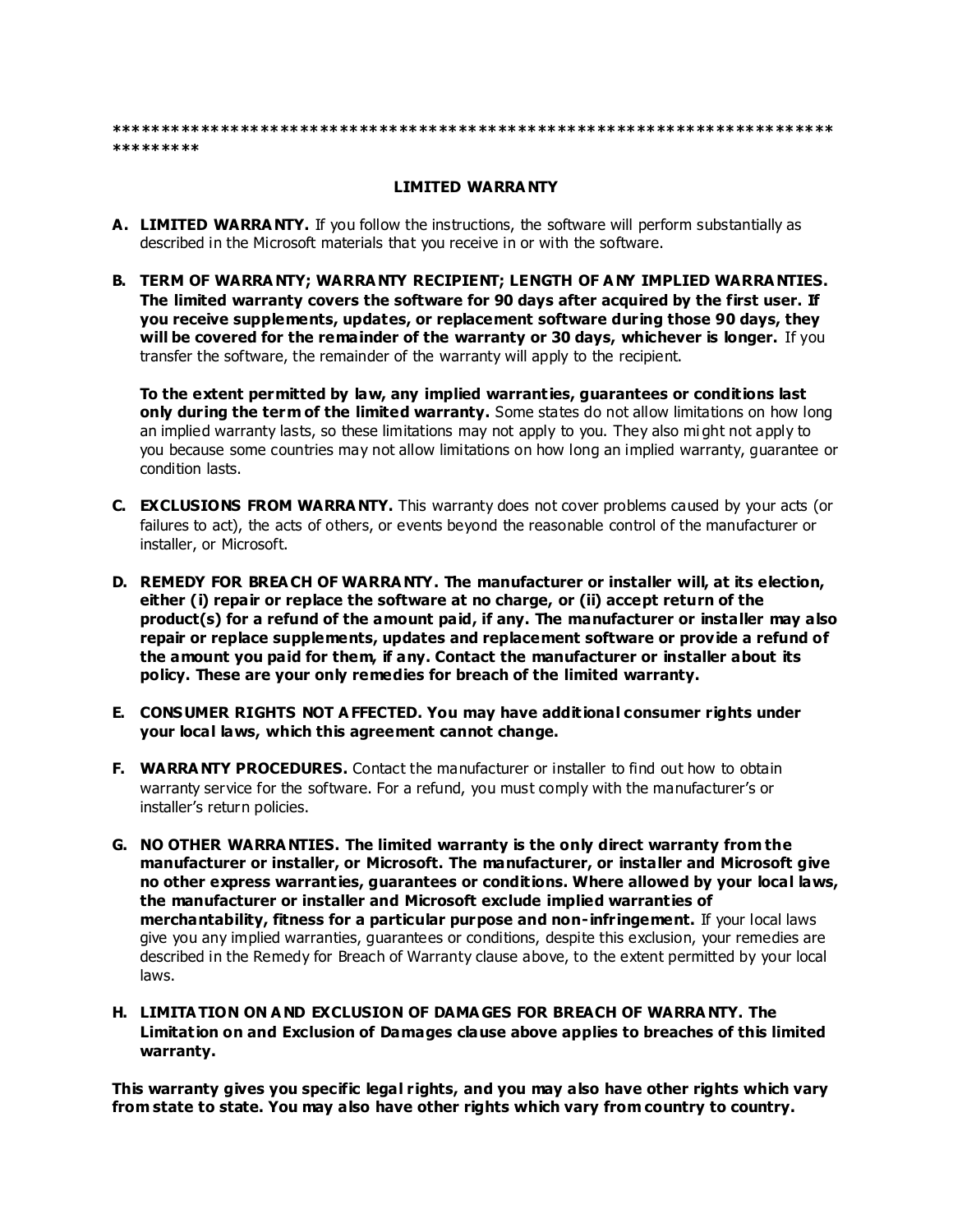#### **\*\*\*\*\*\*\*\*\*\*\*\*\*\*\*\*\*\*\*\*\*\*\*\*\*\*\*\*\*\*\*\*\*\*\*\*\*\*\*\*\*\*\*\*\*\*\*\*\*\*\*\*\*\*\*\*\*\*\*\*\*\*\*\*\*\*\*\*\*\*\*\*\* \*\*\*\*\*\*\*\*\***

# **LIMITED WARRA NTY**

- **A. LIMITED WARRA NTY.** If you follow the instructions, the software will perform substantially as described in the Microsoft materials that you receive in or with the software.
- **B. TERM OF WARRA NTY; WARRA NTY RECIPIENT; LENGTH OF A NY IMPLIED WARRA NTIES. The limited warranty covers the software for 90 days after acquired by the first user. If you receive supplements, updates, or replacement software during those 90 days, they will be covered for the remainder of the warranty or 30 days, whichever is longer.** If you transfer the software, the remainder of the warranty will apply to the recipient.

**To the extent permitted by law, any implied warranties, guarantees or conditions last only during the term of the limited warranty.** Some states do not allow limitations on how long an implied warranty lasts, so these limitations may not apply to you. They also mi ght not apply to you because some countries may not allow limitations on how long an implied warranty, guarantee or condition lasts.

- **C. EXCLUSIONS FROM WARRA NTY.** This warranty does not cover problems caused by your acts (or failures to act), the acts of others, or events beyond the reasonable control of the manufacturer or installer, or Microsoft.
- **D. REMEDY FOR BREA CH OF WARRA NTY. The manufacturer or installer will, at its election, either (i) repair or replace the software at no charge, or (ii) accept return of the product(s) for a refund of the amount paid, if any. The manufacturer or installer may also repair or replace supplements, updates and replacement software or provide a refund of the amount you paid for them, if any. Contact the manufacturer or installer about its policy. These are your only remedies for breach of the limited warranty.**
- **E. CONSUMER RIGHTS NOT A FFECTED. You may have additional consumer rights under your local laws, which this agreement cannot change.**
- **F. WARRA NTY PROCEDURES.** Contact the manufacturer or installer to find out how to obtain warranty service for the software. For a refund, you must comply with the manufacturer's or installer's return policies.
- **G. NO OTHER WARRA NTIES. The limited warranty is the only direct warranty from the manufacturer or installer, or Microsoft. The manufacturer, or installer and Microsoft give no other express warranties, guarantees or conditions. Where allowed by your local laws, the manufacturer or installer and Microsoft exclude implied warranties of merchantability, fitness for a particular purpose and non-infringement.** If your local laws give you any implied warranties, guarantees or conditions, despite this exclusion, your remedies are described in the Remedy for Breach of Warranty clause above, to the extent permitted by your local laws.
- **H. LIMITA TION ON A ND EXCLUSION OF DAMA GES FOR BREACH OF WARRA NTY. The Limitation on and Exclusion of Damages clause above applies to breaches of this limited warranty.**

**This warranty gives you specific legal rights, and you may also have other rights which vary from state to state. You may also have other rights which vary from country to country.**